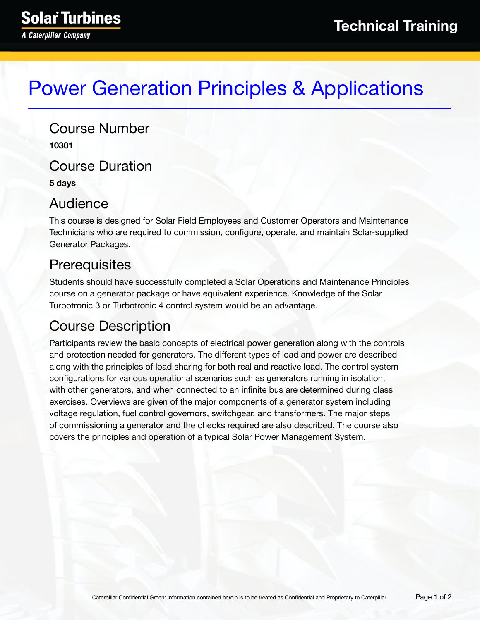# Power Generation Principles & Applications

Course Number **10301** Course Duration **5 days**

#### Audience

This course is designed for Solar Field Employees and Customer Operators and Maintenance Technicians who are required to commission, configure, operate, and maintain Solar-supplied Generator Packages.

### **Prerequisites**

Students should have successfully completed a Solar Operations and Maintenance Principles course on a generator package or have equivalent experience. Knowledge of the Solar Turbotronic 3 or Turbotronic 4 control system would be an advantage.

## Course Description

Participants review the basic concepts of electrical power generation along with the controls and protection needed for generators. The different types of load and power are described along with the principles of load sharing for both real and reactive load. The control system configurations for various operational scenarios such as generators running in isolation, with other generators, and when connected to an infinite bus are determined during class exercises. Overviews are given of the major components of a generator system including voltage regulation, fuel control governors, switchgear, and transformers. The major steps of commissioning a generator and the checks required are also described. The course also covers the principles and operation of a typical Solar Power Management System.